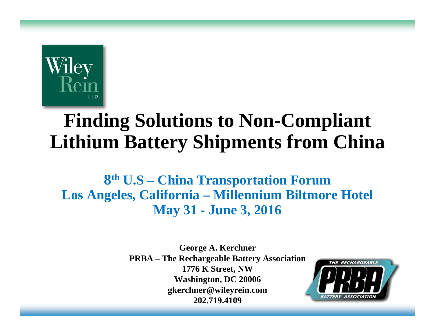

# **Finding Solutions to Non-Compliant Lithium Battery Shipments from China**

**8th U.S – China Transportation Forum Los Angeles, California – Millennium Biltmore Hotel May 31 - June 3, 2016**

> **George A. Kerchner PRBA – The Rechargeable Battery Association 1776 K Street, NW Washington, DC 20006 gkerchner@wileyrein.com 202.719.4109**

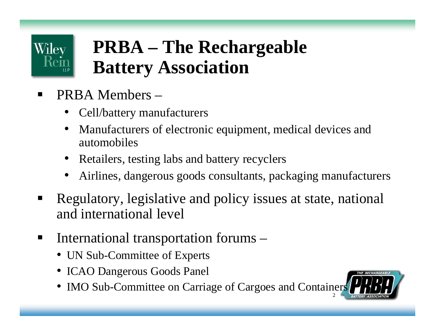

# **PRBA – The Rechargeable Battery Association**

- Ξ PRBA Members –
	- Cell/battery manufacturers
	- Manufacturers of electronic equipment, medical devices and automobiles
	- Retailers, testing labs and battery recyclers
	- •Airlines, dangerous goods consultants, packaging manufacturers
- Ξ Regulatory, legislative and policy issues at state, national and international level
- International transportation forums –
	- UN Sub-Committee of Experts
	- ICAO Dangerous Goods Panel
	- IMO Sub-Committee on Carriage of Cargoes and Containers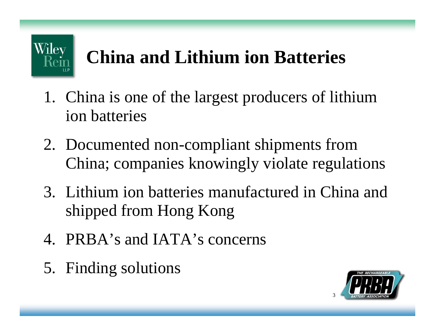

# **China and Lithium ion Batteries**

- 1. China is one of the largest producers of lithium ion batteries
- 2. Documented non-compliant shipments from China; companies knowingly violate regulations
- 3. Lithium ion batteries manufactured in China and shipped from Hong Kong
- 4. PRBA's and IATA's concerns
- 5. Finding solutions

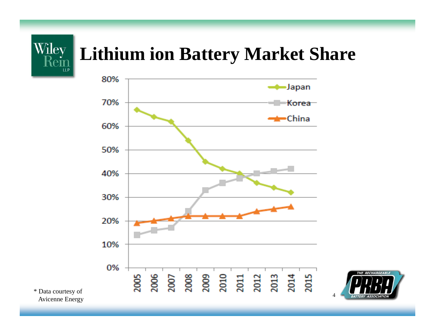

#### **Lithium ion Battery Market Share**



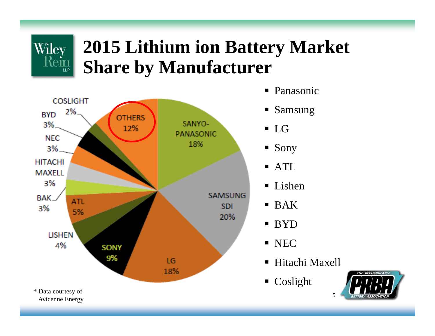#### **2015 Lithium ion Battery Market Share by Manufacturer**



Wiley

 $\left|\overline{\text{Rem}}\right|$ 

- Panasonic
- Samsung
- 
- Sony
- ATL
- Lishen
- $\blacksquare$  BAK
- BYD
- **NEC**
- Hitachi Maxell

5

■ Coslight

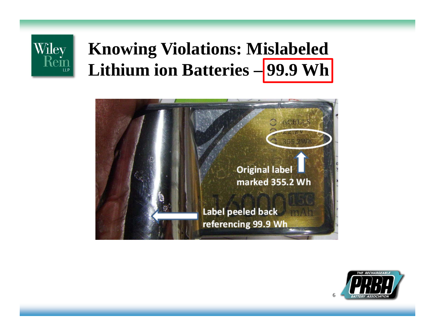

### **Knowing Violations: Mislabeled Lithium ion Batteries – 99.9 Wh**



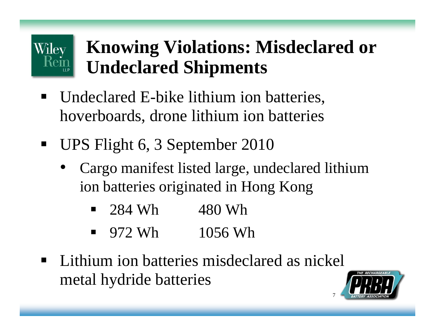# **Knowing Violations: Misdeclared or Undeclared Shipments**

- Undeclared E-bike lithium ion batteries, hoverboards, drone lithium ion batteries
- $\blacksquare$ UPS Flight 6, 3 September 2010

**Wiley** 

- Cargo manifest listed large, undeclared lithium ion batteries originated in Hong Kong
	- $\blacksquare$ 284 Wh 480 Wh
	- $\blacksquare$ 972 Wh 1056 Wh
- **Lithium ion batteries misdeclared as nickel** metal hydride batteries



7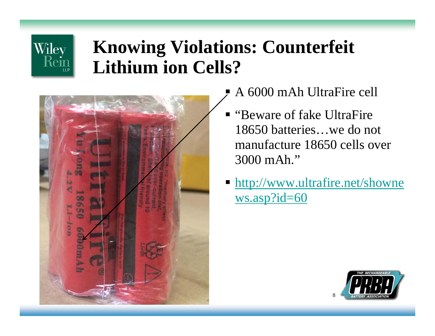#### **Knowing Violations: Counterfeit Lithium ion Cells?**



Wiley

Rein

- E A 6000 mAh UltraFire cell
- "Beware of fake UltraFire" 18650 batteries…we do not manufacture 18650 cells over 3000 mAh."
- **http://www.ultrafire.net/showne** ws.asp?id=60

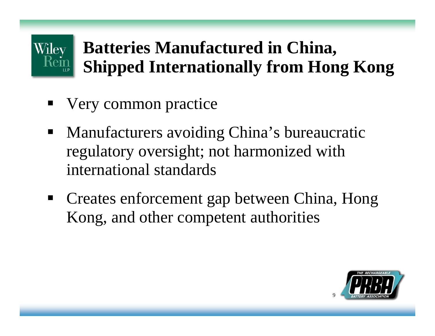#### **Batteries Manufactured in China,**  Wiley **Shipped Internationally from Hong Kong**

- **Very common practice**
- **Manufacturers avoiding China's bureaucratic** regulatory oversight; not harmonized with international standards
- Creates enforcement gap between China, Hong Kong, and other competent authorities

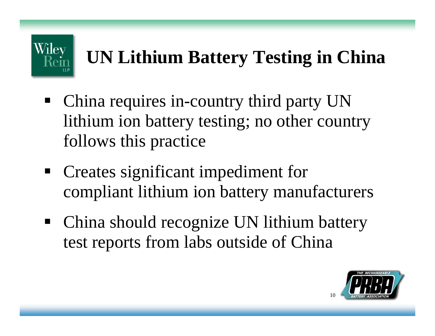

# **UN Lithium Battery Testing in China**

- China requires in-country third party UN lithium ion battery testing; no other country follows this practice
- Creates significant impediment for compliant lithium ion battery manufacturers
- $\blacksquare$  China should recognize UN lithium battery test reports from labs outside of China

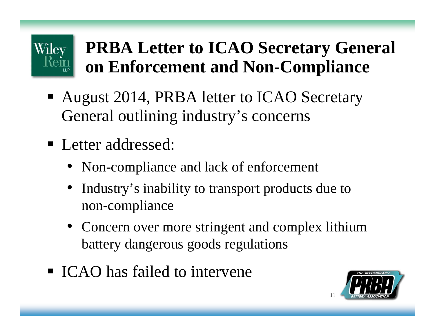# **PRBA Letter to ICAO Secretary General on Enforcement and Non-Compliance**

- August 2014, PRBA letter to ICAO Secretary General outlining industry's concerns
- **Letter addressed:**

Wiley

- Non-compliance and lack of enforcement
- • Industry's inability to transport products due to non-compliance
- Concern over more stringent and complex lithium battery dangerous goods regulations
- **ICAO** has failed to intervene

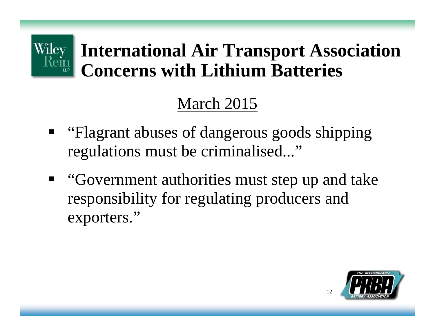# **International Air Transport Association Concerns with Lithium Batteries**

#### March 2015

- **"** "Flagrant abuses of dangerous goods shipping" regulations must be criminalised..."
- **"** "Government authorities must step up and take responsibility for regulating producers and exporters."